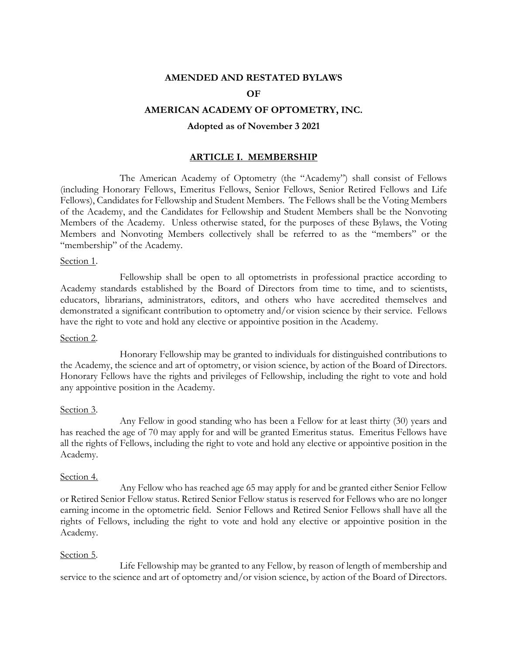### **AMENDED AND RESTATED BYLAWS**

## **OF**

## **AMERICAN ACADEMY OF OPTOMETRY, INC.**

#### **Adopted as of November 3 2021**

### **ARTICLE I. MEMBERSHIP**

The American Academy of Optometry (the "Academy") shall consist of Fellows (including Honorary Fellows, Emeritus Fellows, Senior Fellows, Senior Retired Fellows and Life Fellows), Candidates for Fellowship and Student Members. The Fellows shall be the Voting Members of the Academy, and the Candidates for Fellowship and Student Members shall be the Nonvoting Members of the Academy. Unless otherwise stated, for the purposes of these Bylaws, the Voting Members and Nonvoting Members collectively shall be referred to as the "members" or the "membership" of the Academy.

#### Section 1.

Fellowship shall be open to all optometrists in professional practice according to Academy standards established by the Board of Directors from time to time, and to scientists, educators, librarians, administrators, editors, and others who have accredited themselves and demonstrated a significant contribution to optometry and/or vision science by their service. Fellows have the right to vote and hold any elective or appointive position in the Academy.

#### Section 2.

Honorary Fellowship may be granted to individuals for distinguished contributions to the Academy, the science and art of optometry, or vision science, by action of the Board of Directors. Honorary Fellows have the rights and privileges of Fellowship, including the right to vote and hold any appointive position in the Academy.

#### Section 3.

Any Fellow in good standing who has been a Fellow for at least thirty (30) years and has reached the age of 70 may apply for and will be granted Emeritus status. Emeritus Fellows have all the rights of Fellows, including the right to vote and hold any elective or appointive position in the Academy.

#### Section 4.

Any Fellow who has reached age 65 may apply for and be granted either Senior Fellow or Retired Senior Fellow status. Retired Senior Fellow status is reserved for Fellows who are no longer earning income in the optometric field. Senior Fellows and Retired Senior Fellows shall have all the rights of Fellows, including the right to vote and hold any elective or appointive position in the Academy.

#### Section 5.

Life Fellowship may be granted to any Fellow, by reason of length of membership and service to the science and art of optometry and/or vision science, by action of the Board of Directors.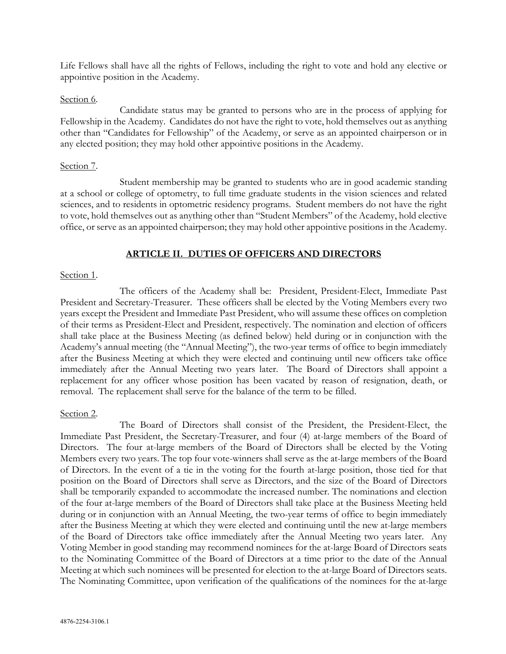Life Fellows shall have all the rights of Fellows, including the right to vote and hold any elective or appointive position in the Academy.

#### Section 6.

Candidate status may be granted to persons who are in the process of applying for Fellowship in the Academy. Candidates do not have the right to vote, hold themselves out as anything other than "Candidates for Fellowship" of the Academy, or serve as an appointed chairperson or in any elected position; they may hold other appointive positions in the Academy.

#### Section 7.

Student membership may be granted to students who are in good academic standing at a school or college of optometry, to full time graduate students in the vision sciences and related sciences, and to residents in optometric residency programs. Student members do not have the right to vote, hold themselves out as anything other than "Student Members" of the Academy, hold elective office, or serve as an appointed chairperson; they may hold other appointive positions in the Academy.

## **ARTICLE II. DUTIES OF OFFICERS AND DIRECTORS**

#### Section 1.

The officers of the Academy shall be: President, President-Elect, Immediate Past President and Secretary-Treasurer. These officers shall be elected by the Voting Members every two years except the President and Immediate Past President, who will assume these offices on completion of their terms as President-Elect and President, respectively. The nomination and election of officers shall take place at the Business Meeting (as defined below) held during or in conjunction with the Academy's annual meeting (the "Annual Meeting"), the two-year terms of office to begin immediately after the Business Meeting at which they were elected and continuing until new officers take office immediately after the Annual Meeting two years later. The Board of Directors shall appoint a replacement for any officer whose position has been vacated by reason of resignation, death, or removal. The replacement shall serve for the balance of the term to be filled.

#### Section 2.

The Board of Directors shall consist of the President, the President-Elect, the Immediate Past President, the Secretary-Treasurer, and four (4) at-large members of the Board of Directors. The four at-large members of the Board of Directors shall be elected by the Voting Members every two years. The top four vote-winners shall serve as the at-large members of the Board of Directors. In the event of a tie in the voting for the fourth at-large position, those tied for that position on the Board of Directors shall serve as Directors, and the size of the Board of Directors shall be temporarily expanded to accommodate the increased number. The nominations and election of the four at-large members of the Board of Directors shall take place at the Business Meeting held during or in conjunction with an Annual Meeting, the two-year terms of office to begin immediately after the Business Meeting at which they were elected and continuing until the new at-large members of the Board of Directors take office immediately after the Annual Meeting two years later. Any Voting Member in good standing may recommend nominees for the at-large Board of Directors seats to the Nominating Committee of the Board of Directors at a time prior to the date of the Annual Meeting at which such nominees will be presented for election to the at-large Board of Directors seats. The Nominating Committee, upon verification of the qualifications of the nominees for the at-large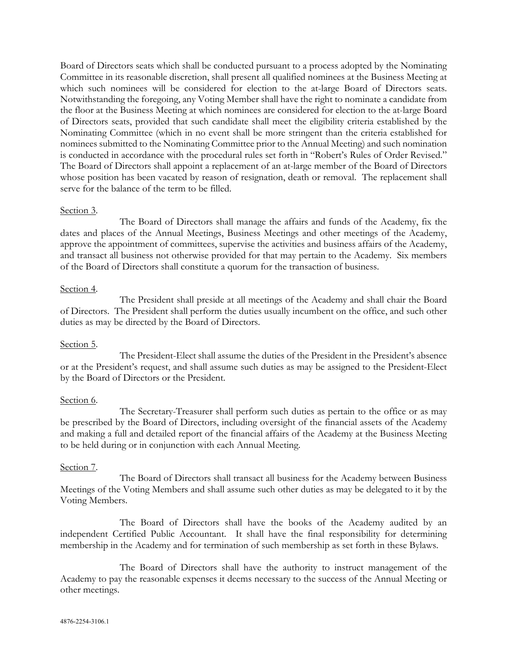Board of Directors seats which shall be conducted pursuant to a process adopted by the Nominating Committee in its reasonable discretion, shall present all qualified nominees at the Business Meeting at which such nominees will be considered for election to the at-large Board of Directors seats. Notwithstanding the foregoing, any Voting Member shall have the right to nominate a candidate from the floor at the Business Meeting at which nominees are considered for election to the at-large Board of Directors seats, provided that such candidate shall meet the eligibility criteria established by the Nominating Committee (which in no event shall be more stringent than the criteria established for nominees submitted to the Nominating Committee prior to the Annual Meeting) and such nomination is conducted in accordance with the procedural rules set forth in "Robert's Rules of Order Revised." The Board of Directors shall appoint a replacement of an at-large member of the Board of Directors whose position has been vacated by reason of resignation, death or removal. The replacement shall serve for the balance of the term to be filled.

## Section 3.

The Board of Directors shall manage the affairs and funds of the Academy, fix the dates and places of the Annual Meetings, Business Meetings and other meetings of the Academy, approve the appointment of committees, supervise the activities and business affairs of the Academy, and transact all business not otherwise provided for that may pertain to the Academy. Six members of the Board of Directors shall constitute a quorum for the transaction of business.

## Section 4.

The President shall preside at all meetings of the Academy and shall chair the Board of Directors. The President shall perform the duties usually incumbent on the office, and such other duties as may be directed by the Board of Directors.

## Section 5.

The President-Elect shall assume the duties of the President in the President's absence or at the President's request, and shall assume such duties as may be assigned to the President-Elect by the Board of Directors or the President.

#### Section 6.

The Secretary-Treasurer shall perform such duties as pertain to the office or as may be prescribed by the Board of Directors, including oversight of the financial assets of the Academy and making a full and detailed report of the financial affairs of the Academy at the Business Meeting to be held during or in conjunction with each Annual Meeting.

#### Section 7.

The Board of Directors shall transact all business for the Academy between Business Meetings of the Voting Members and shall assume such other duties as may be delegated to it by the Voting Members.

The Board of Directors shall have the books of the Academy audited by an independent Certified Public Accountant. It shall have the final responsibility for determining membership in the Academy and for termination of such membership as set forth in these Bylaws.

The Board of Directors shall have the authority to instruct management of the Academy to pay the reasonable expenses it deems necessary to the success of the Annual Meeting or other meetings.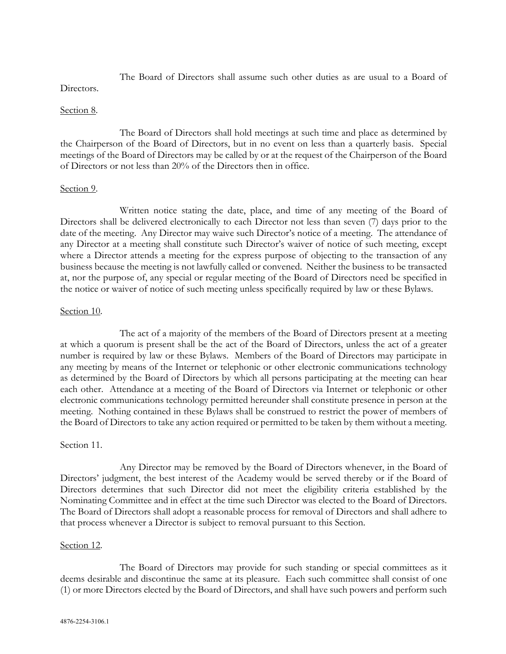The Board of Directors shall assume such other duties as are usual to a Board of Directors.

## Section 8.

The Board of Directors shall hold meetings at such time and place as determined by the Chairperson of the Board of Directors, but in no event on less than a quarterly basis. Special meetings of the Board of Directors may be called by or at the request of the Chairperson of the Board of Directors or not less than 20% of the Directors then in office.

#### Section 9.

Written notice stating the date, place, and time of any meeting of the Board of Directors shall be delivered electronically to each Director not less than seven (7) days prior to the date of the meeting. Any Director may waive such Director's notice of a meeting. The attendance of any Director at a meeting shall constitute such Director's waiver of notice of such meeting, except where a Director attends a meeting for the express purpose of objecting to the transaction of any business because the meeting is not lawfully called or convened. Neither the business to be transacted at, nor the purpose of, any special or regular meeting of the Board of Directors need be specified in the notice or waiver of notice of such meeting unless specifically required by law or these Bylaws.

#### Section 10.

The act of a majority of the members of the Board of Directors present at a meeting at which a quorum is present shall be the act of the Board of Directors, unless the act of a greater number is required by law or these Bylaws. Members of the Board of Directors may participate in any meeting by means of the Internet or telephonic or other electronic communications technology as determined by the Board of Directors by which all persons participating at the meeting can hear each other. Attendance at a meeting of the Board of Directors via Internet or telephonic or other electronic communications technology permitted hereunder shall constitute presence in person at the meeting. Nothing contained in these Bylaws shall be construed to restrict the power of members of the Board of Directors to take any action required or permitted to be taken by them without a meeting.

#### Section 11.

Any Director may be removed by the Board of Directors whenever, in the Board of Directors' judgment, the best interest of the Academy would be served thereby or if the Board of Directors determines that such Director did not meet the eligibility criteria established by the Nominating Committee and in effect at the time such Director was elected to the Board of Directors. The Board of Directors shall adopt a reasonable process for removal of Directors and shall adhere to that process whenever a Director is subject to removal pursuant to this Section.

#### Section 12.

The Board of Directors may provide for such standing or special committees as it deems desirable and discontinue the same at its pleasure. Each such committee shall consist of one (1) or more Directors elected by the Board of Directors, and shall have such powers and perform such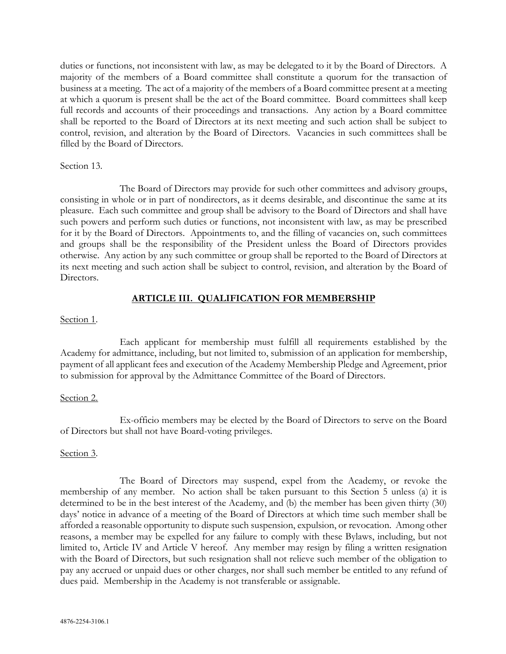duties or functions, not inconsistent with law, as may be delegated to it by the Board of Directors. A majority of the members of a Board committee shall constitute a quorum for the transaction of business at a meeting. The act of a majority of the members of a Board committee present at a meeting at which a quorum is present shall be the act of the Board committee. Board committees shall keep full records and accounts of their proceedings and transactions. Any action by a Board committee shall be reported to the Board of Directors at its next meeting and such action shall be subject to control, revision, and alteration by the Board of Directors. Vacancies in such committees shall be filled by the Board of Directors.

## Section 13.

The Board of Directors may provide for such other committees and advisory groups, consisting in whole or in part of nondirectors, as it deems desirable, and discontinue the same at its pleasure. Each such committee and group shall be advisory to the Board of Directors and shall have such powers and perform such duties or functions, not inconsistent with law, as may be prescribed for it by the Board of Directors. Appointments to, and the filling of vacancies on, such committees and groups shall be the responsibility of the President unless the Board of Directors provides otherwise. Any action by any such committee or group shall be reported to the Board of Directors at its next meeting and such action shall be subject to control, revision, and alteration by the Board of Directors.

## **ARTICLE III. QUALIFICATION FOR MEMBERSHIP**

## Section 1.

Each applicant for membership must fulfill all requirements established by the Academy for admittance, including, but not limited to, submission of an application for membership, payment of all applicant fees and execution of the Academy Membership Pledge and Agreement, prior to submission for approval by the Admittance Committee of the Board of Directors.

## Section 2.

Ex-officio members may be elected by the Board of Directors to serve on the Board of Directors but shall not have Board-voting privileges.

## Section 3.

The Board of Directors may suspend, expel from the Academy, or revoke the membership of any member. No action shall be taken pursuant to this Section 5 unless (a) it is determined to be in the best interest of the Academy, and (b) the member has been given thirty (30) days' notice in advance of a meeting of the Board of Directors at which time such member shall be afforded a reasonable opportunity to dispute such suspension, expulsion, or revocation. Among other reasons, a member may be expelled for any failure to comply with these Bylaws, including, but not limited to, Article IV and Article V hereof. Any member may resign by filing a written resignation with the Board of Directors, but such resignation shall not relieve such member of the obligation to pay any accrued or unpaid dues or other charges, nor shall such member be entitled to any refund of dues paid. Membership in the Academy is not transferable or assignable.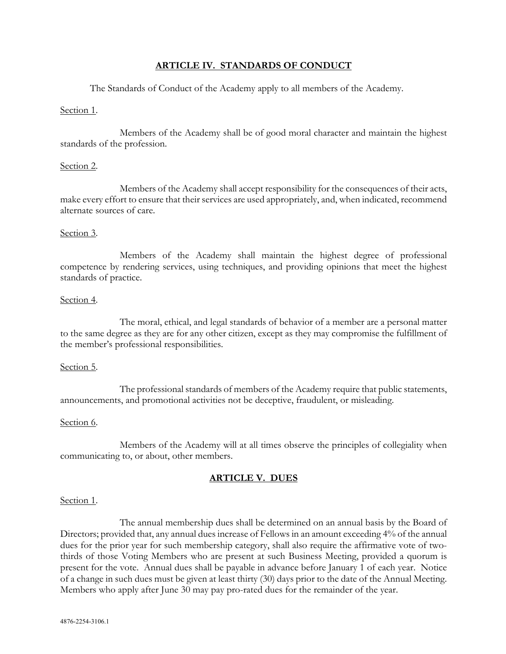## **ARTICLE IV. STANDARDS OF CONDUCT**

The Standards of Conduct of the Academy apply to all members of the Academy.

## Section 1.

Members of the Academy shall be of good moral character and maintain the highest standards of the profession.

## Section 2.

Members of the Academy shall accept responsibility for the consequences of their acts, make every effort to ensure that their services are used appropriately, and, when indicated, recommend alternate sources of care.

## Section 3.

Members of the Academy shall maintain the highest degree of professional competence by rendering services, using techniques, and providing opinions that meet the highest standards of practice.

## Section 4.

The moral, ethical, and legal standards of behavior of a member are a personal matter to the same degree as they are for any other citizen, except as they may compromise the fulfillment of the member's professional responsibilities.

## Section 5.

The professional standards of members of the Academy require that public statements, announcements, and promotional activities not be deceptive, fraudulent, or misleading.

## Section 6.

Members of the Academy will at all times observe the principles of collegiality when communicating to, or about, other members.

# **ARTICLE V. DUES**

#### Section 1.

The annual membership dues shall be determined on an annual basis by the Board of Directors; provided that, any annual dues increase of Fellows in an amount exceeding 4% of the annual dues for the prior year for such membership category, shall also require the affirmative vote of twothirds of those Voting Members who are present at such Business Meeting, provided a quorum is present for the vote. Annual dues shall be payable in advance before January 1 of each year. Notice of a change in such dues must be given at least thirty (30) days prior to the date of the Annual Meeting. Members who apply after June 30 may pay pro-rated dues for the remainder of the year.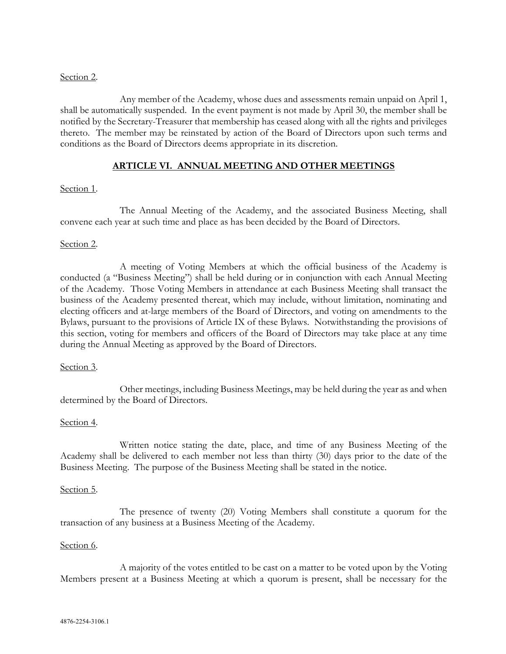## Section 2.

Any member of the Academy, whose dues and assessments remain unpaid on April 1, shall be automatically suspended. In the event payment is not made by April 30, the member shall be notified by the Secretary-Treasurer that membership has ceased along with all the rights and privileges thereto. The member may be reinstated by action of the Board of Directors upon such terms and conditions as the Board of Directors deems appropriate in its discretion.

## **ARTICLE VI. ANNUAL MEETING AND OTHER MEETINGS**

## Section 1.

The Annual Meeting of the Academy, and the associated Business Meeting, shall convene each year at such time and place as has been decided by the Board of Directors.

## Section 2.

A meeting of Voting Members at which the official business of the Academy is conducted (a "Business Meeting") shall be held during or in conjunction with each Annual Meeting of the Academy. Those Voting Members in attendance at each Business Meeting shall transact the business of the Academy presented thereat, which may include, without limitation, nominating and electing officers and at-large members of the Board of Directors, and voting on amendments to the Bylaws, pursuant to the provisions of Article IX of these Bylaws. Notwithstanding the provisions of this section, voting for members and officers of the Board of Directors may take place at any time during the Annual Meeting as approved by the Board of Directors.

#### Section 3.

Other meetings, including Business Meetings, may be held during the year as and when determined by the Board of Directors.

## Section 4.

Written notice stating the date, place, and time of any Business Meeting of the Academy shall be delivered to each member not less than thirty (30) days prior to the date of the Business Meeting. The purpose of the Business Meeting shall be stated in the notice.

#### Section 5.

The presence of twenty (20) Voting Members shall constitute a quorum for the transaction of any business at a Business Meeting of the Academy.

#### Section 6.

A majority of the votes entitled to be cast on a matter to be voted upon by the Voting Members present at a Business Meeting at which a quorum is present, shall be necessary for the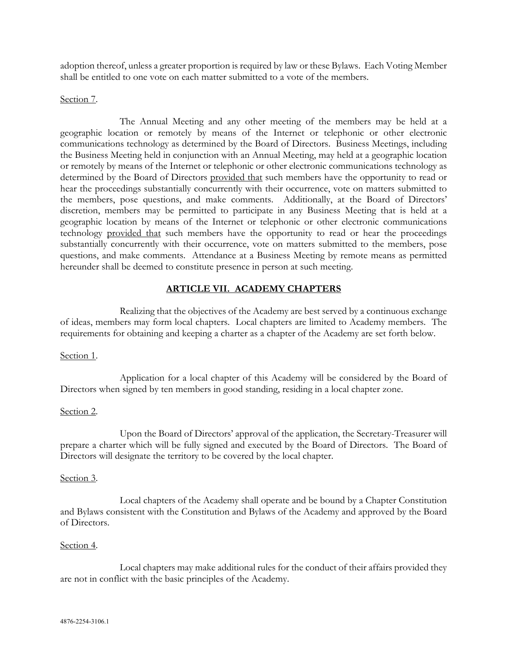adoption thereof, unless a greater proportion is required by law or these Bylaws. Each Voting Member shall be entitled to one vote on each matter submitted to a vote of the members.

#### Section 7.

The Annual Meeting and any other meeting of the members may be held at a geographic location or remotely by means of the Internet or telephonic or other electronic communications technology as determined by the Board of Directors. Business Meetings, including the Business Meeting held in conjunction with an Annual Meeting, may held at a geographic location or remotely by means of the Internet or telephonic or other electronic communications technology as determined by the Board of Directors provided that such members have the opportunity to read or hear the proceedings substantially concurrently with their occurrence, vote on matters submitted to the members, pose questions, and make comments. Additionally, at the Board of Directors' discretion, members may be permitted to participate in any Business Meeting that is held at a geographic location by means of the Internet or telephonic or other electronic communications technology provided that such members have the opportunity to read or hear the proceedings substantially concurrently with their occurrence, vote on matters submitted to the members, pose questions, and make comments. Attendance at a Business Meeting by remote means as permitted hereunder shall be deemed to constitute presence in person at such meeting.

## **ARTICLE VII. ACADEMY CHAPTERS**

Realizing that the objectives of the Academy are best served by a continuous exchange of ideas, members may form local chapters. Local chapters are limited to Academy members. The requirements for obtaining and keeping a charter as a chapter of the Academy are set forth below.

## Section 1.

Application for a local chapter of this Academy will be considered by the Board of Directors when signed by ten members in good standing, residing in a local chapter zone.

## Section 2.

Upon the Board of Directors' approval of the application, the Secretary-Treasurer will prepare a charter which will be fully signed and executed by the Board of Directors. The Board of Directors will designate the territory to be covered by the local chapter.

#### Section 3.

Local chapters of the Academy shall operate and be bound by a Chapter Constitution and Bylaws consistent with the Constitution and Bylaws of the Academy and approved by the Board of Directors.

#### Section 4.

Local chapters may make additional rules for the conduct of their affairs provided they are not in conflict with the basic principles of the Academy.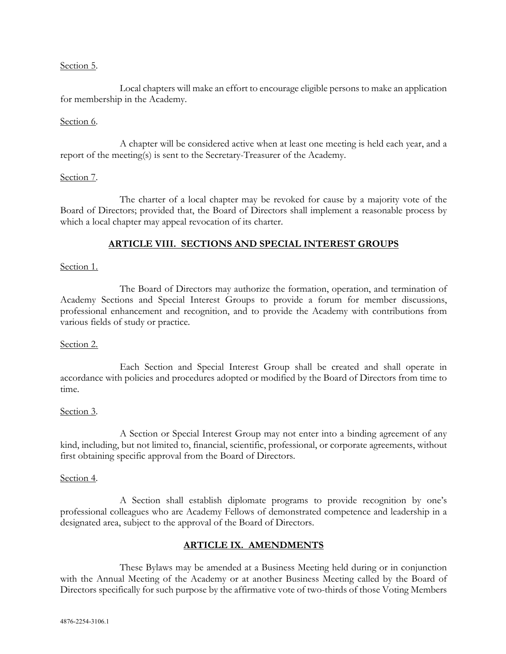## Section 5.

Local chapters will make an effort to encourage eligible persons to make an application for membership in the Academy.

## Section 6.

A chapter will be considered active when at least one meeting is held each year, and a report of the meeting(s) is sent to the Secretary-Treasurer of the Academy.

## Section 7.

The charter of a local chapter may be revoked for cause by a majority vote of the Board of Directors; provided that, the Board of Directors shall implement a reasonable process by which a local chapter may appeal revocation of its charter.

# **ARTICLE VIII. SECTIONS AND SPECIAL INTEREST GROUPS**

## Section 1.

The Board of Directors may authorize the formation, operation, and termination of Academy Sections and Special Interest Groups to provide a forum for member discussions, professional enhancement and recognition, and to provide the Academy with contributions from various fields of study or practice.

## Section 2.

Each Section and Special Interest Group shall be created and shall operate in accordance with policies and procedures adopted or modified by the Board of Directors from time to time.

## Section 3.

A Section or Special Interest Group may not enter into a binding agreement of any kind, including, but not limited to, financial, scientific, professional, or corporate agreements, without first obtaining specific approval from the Board of Directors.

## Section 4.

A Section shall establish diplomate programs to provide recognition by one's professional colleagues who are Academy Fellows of demonstrated competence and leadership in a designated area, subject to the approval of the Board of Directors.

# **ARTICLE IX. AMENDMENTS**

These Bylaws may be amended at a Business Meeting held during or in conjunction with the Annual Meeting of the Academy or at another Business Meeting called by the Board of Directors specifically for such purpose by the affirmative vote of two-thirds of those Voting Members